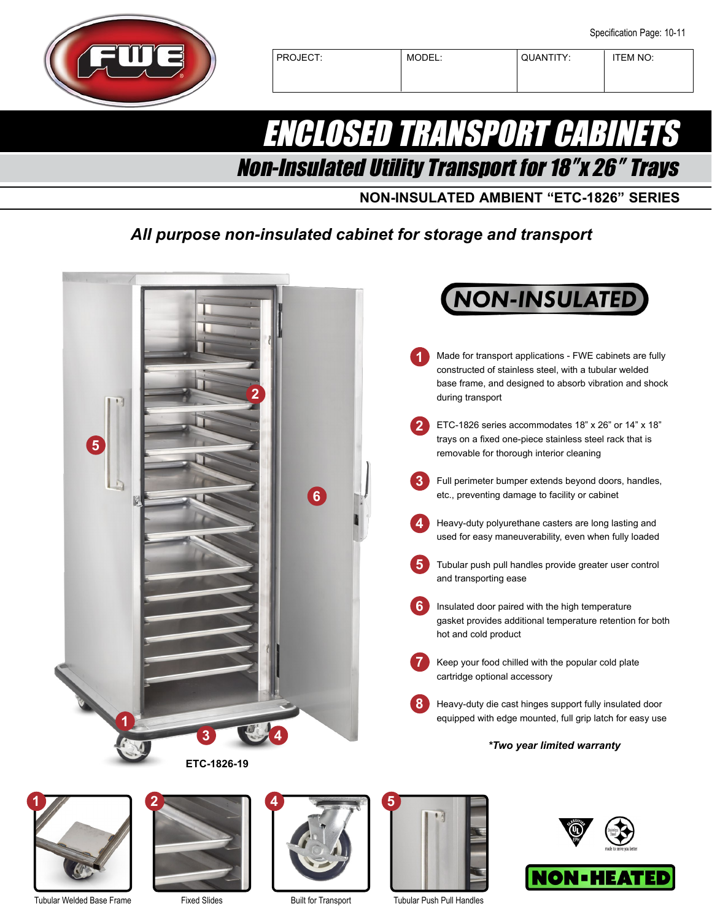

PROJECT: MODEL: QUANTITY: TEM NO:

## ENCLOSED TRANSPORT CABINETS Non-Insulated Utility Transport for 18″x 26″ Trays

**NON-INSULATED AMBIENT "ETC-1826" SERIES**

## *All purpose non-insulated cabinet for storage and transport*





Tubular Welded Base Frame



Fixed Slides



Built for Transport



Tubular Push Pull Handles